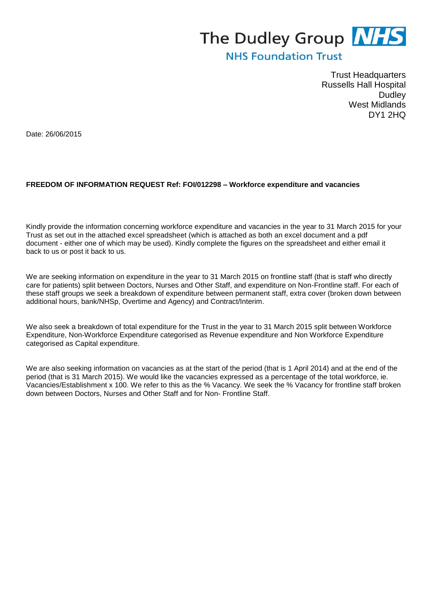## The Dudley Group NHS

## **NHS Foundation Trust**

Trust Headquarters Russells Hall Hospital **Dudley** West Midlands DY1 2HQ

Date: 26/06/2015

## **FREEDOM OF INFORMATION REQUEST Ref: FOI/012298 – Workforce expenditure and vacancies**

Kindly provide the information concerning workforce expenditure and vacancies in the year to 31 March 2015 for your Trust as set out in the attached excel spreadsheet (which is attached as both an excel document and a pdf document - either one of which may be used). Kindly complete the figures on the spreadsheet and either email it back to us or post it back to us.

We are seeking information on expenditure in the year to 31 March 2015 on frontline staff (that is staff who directly care for patients) split between Doctors, Nurses and Other Staff, and expenditure on Non-Frontline staff. For each of these staff groups we seek a breakdown of expenditure between permanent staff, extra cover (broken down between additional hours, bank/NHSp, Overtime and Agency) and Contract/Interim.

We also seek a breakdown of total expenditure for the Trust in the year to 31 March 2015 split between Workforce Expenditure, Non-Workforce Expenditure categorised as Revenue expenditure and Non Workforce Expenditure categorised as Capital expenditure.

We are also seeking information on vacancies as at the start of the period (that is 1 April 2014) and at the end of the period (that is 31 March 2015). We would like the vacancies expressed as a percentage of the total workforce, ie. Vacancies/Establishment x 100. We refer to this as the % Vacancy. We seek the % Vacancy for frontline staff broken down between Doctors, Nurses and Other Staff and for Non- Frontline Staff.